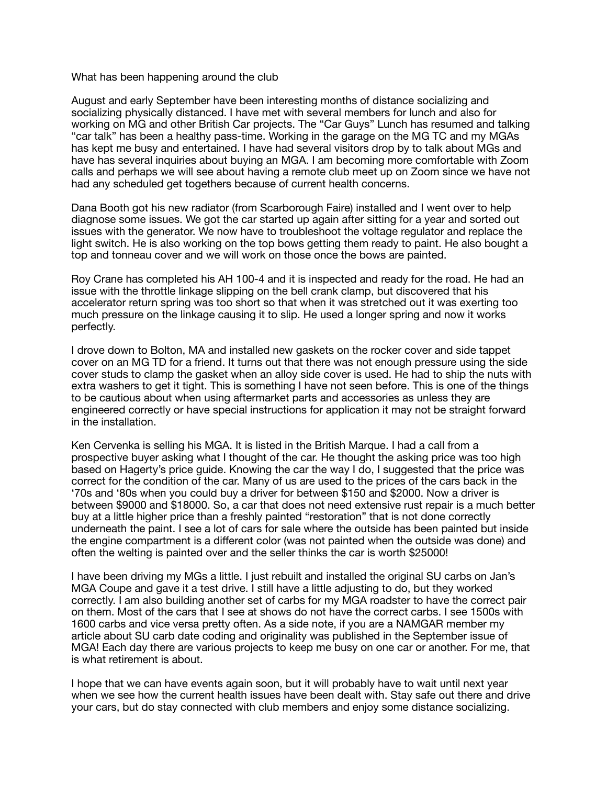## What has been happening around the club

August and early September have been interesting months of distance socializing and socializing physically distanced. I have met with several members for lunch and also for working on MG and other British Car projects. The "Car Guys" Lunch has resumed and talking "car talk" has been a healthy pass-time. Working in the garage on the MG TC and my MGAs has kept me busy and entertained. I have had several visitors drop by to talk about MGs and have has several inquiries about buying an MGA. I am becoming more comfortable with Zoom calls and perhaps we will see about having a remote club meet up on Zoom since we have not had any scheduled get togethers because of current health concerns.

Dana Booth got his new radiator (from Scarborough Faire) installed and I went over to help diagnose some issues. We got the car started up again after sitting for a year and sorted out issues with the generator. We now have to troubleshoot the voltage regulator and replace the light switch. He is also working on the top bows getting them ready to paint. He also bought a top and tonneau cover and we will work on those once the bows are painted.

Roy Crane has completed his AH 100-4 and it is inspected and ready for the road. He had an issue with the throttle linkage slipping on the bell crank clamp, but discovered that his accelerator return spring was too short so that when it was stretched out it was exerting too much pressure on the linkage causing it to slip. He used a longer spring and now it works perfectly.

I drove down to Bolton, MA and installed new gaskets on the rocker cover and side tappet cover on an MG TD for a friend. It turns out that there was not enough pressure using the side cover studs to clamp the gasket when an alloy side cover is used. He had to ship the nuts with extra washers to get it tight. This is something I have not seen before. This is one of the things to be cautious about when using aftermarket parts and accessories as unless they are engineered correctly or have special instructions for application it may not be straight forward in the installation.

Ken Cervenka is selling his MGA. It is listed in the British Marque. I had a call from a prospective buyer asking what I thought of the car. He thought the asking price was too high based on Hagerty's price guide. Knowing the car the way I do, I suggested that the price was correct for the condition of the car. Many of us are used to the prices of the cars back in the '70s and '80s when you could buy a driver for between \$150 and \$2000. Now a driver is between \$9000 and \$18000. So, a car that does not need extensive rust repair is a much better buy at a little higher price than a freshly painted "restoration" that is not done correctly underneath the paint. I see a lot of cars for sale where the outside has been painted but inside the engine compartment is a different color (was not painted when the outside was done) and often the welting is painted over and the seller thinks the car is worth \$25000!

I have been driving my MGs a little. I just rebuilt and installed the original SU carbs on Jan's MGA Coupe and gave it a test drive. I still have a little adjusting to do, but they worked correctly. I am also building another set of carbs for my MGA roadster to have the correct pair on them. Most of the cars that I see at shows do not have the correct carbs. I see 1500s with 1600 carbs and vice versa pretty often. As a side note, if you are a NAMGAR member my article about SU carb date coding and originality was published in the September issue of MGA! Each day there are various projects to keep me busy on one car or another. For me, that is what retirement is about.

I hope that we can have events again soon, but it will probably have to wait until next year when we see how the current health issues have been dealt with. Stay safe out there and drive your cars, but do stay connected with club members and enjoy some distance socializing.